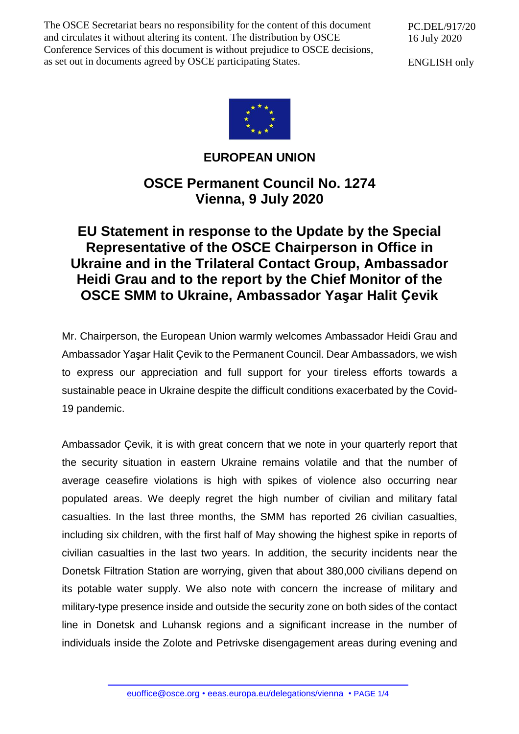The OSCE Secretariat bears no responsibility for the content of this document and circulates it without altering its content. The distribution by OSCE Conference Services of this document is without prejudice to OSCE decisions, as set out in documents agreed by OSCE participating States.

PC.DEL/917/20 16 July 2020

ENGLISH only



## **EUROPEAN UNION**

## **OSCE Permanent Council No. 1274 Vienna, 9 July 2020**

## **EU Statement in response to the Update by the Special Representative of the OSCE Chairperson in Office in Ukraine and in the Trilateral Contact Group, Ambassador Heidi Grau and to the report by the Chief Monitor of the OSCE SMM to Ukraine, Ambassador Yaşar Halit Ҫevik**

Mr. Chairperson, the European Union warmly welcomes Ambassador Heidi Grau and Ambassador Yaşar Halit Çevik to the Permanent Council. Dear Ambassadors, we wish to express our appreciation and full support for your tireless efforts towards a sustainable peace in Ukraine despite the difficult conditions exacerbated by the Covid-19 pandemic.

Ambassador Çevik, it is with great concern that we note in your quarterly report that the security situation in eastern Ukraine remains volatile and that the number of average ceasefire violations is high with spikes of violence also occurring near populated areas. We deeply regret the high number of civilian and military fatal casualties. In the last three months, the SMM has reported 26 civilian casualties, including six children, with the first half of May showing the highest spike in reports of civilian casualties in the last two years. In addition, the security incidents near the Donetsk Filtration Station are worrying, given that about 380,000 civilians depend on its potable water supply. We also note with concern the increase of military and military-type presence inside and outside the security zone on both sides of the contact line in Donetsk and Luhansk regions and a significant increase in the number of individuals inside the Zolote and Petrivske disengagement areas during evening and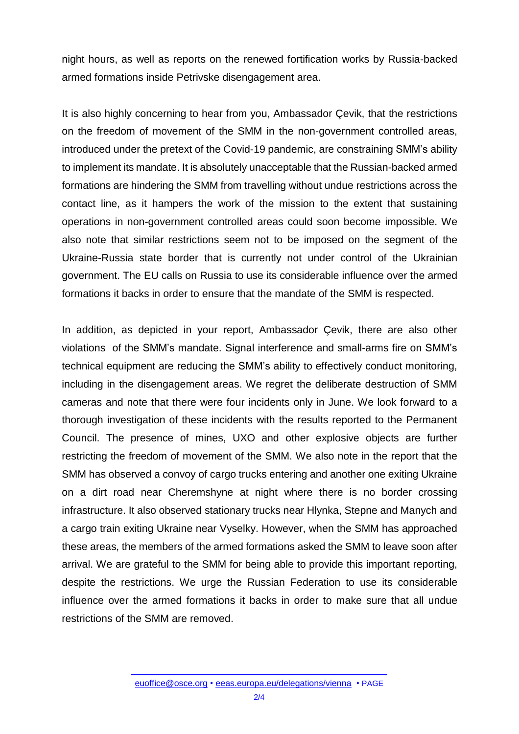night hours, as well as reports on the renewed fortification works by Russia-backed armed formations inside Petrivske disengagement area.

It is also highly concerning to hear from you, Ambassador Çevik, that the restrictions on the freedom of movement of the SMM in the non-government controlled areas, introduced under the pretext of the Covid-19 pandemic, are constraining SMM's ability to implement its mandate. It is absolutely unacceptable that the Russian-backed armed formations are hindering the SMM from travelling without undue restrictions across the contact line, as it hampers the work of the mission to the extent that sustaining operations in non-government controlled areas could soon become impossible. We also note that similar restrictions seem not to be imposed on the segment of the Ukraine-Russia state border that is currently not under control of the Ukrainian government. The EU calls on Russia to use its considerable influence over the armed formations it backs in order to ensure that the mandate of the SMM is respected.

In addition, as depicted in your report, Ambassador Çevik, there are also other violations of the SMM's mandate. Signal interference and small-arms fire on SMM's technical equipment are reducing the SMM's ability to effectively conduct monitoring, including in the disengagement areas. We regret the deliberate destruction of SMM cameras and note that there were four incidents only in June. We look forward to a thorough investigation of these incidents with the results reported to the Permanent Council. The presence of mines, UXO and other explosive objects are further restricting the freedom of movement of the SMM. We also note in the report that the SMM has observed a convoy of cargo trucks entering and another one exiting Ukraine on a dirt road near Cheremshyne at night where there is no border crossing infrastructure. It also observed stationary trucks near Hlynka, Stepne and Manych and a cargo train exiting Ukraine near Vyselky. However, when the SMM has approached these areas, the members of the armed formations asked the SMM to leave soon after arrival. We are grateful to the SMM for being able to provide this important reporting, despite the restrictions. We urge the Russian Federation to use its considerable influence over the armed formations it backs in order to make sure that all undue restrictions of the SMM are removed.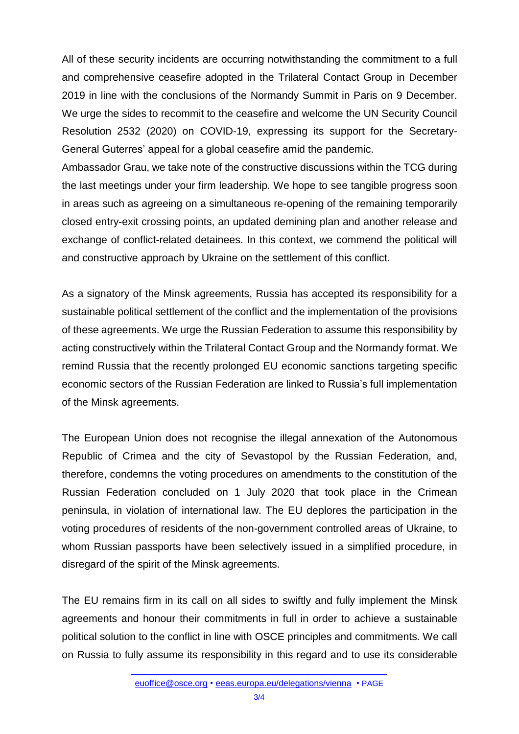All of these security incidents are occurring notwithstanding the commitment to a full and comprehensive ceasefire adopted in the Trilateral Contact Group in December 2019 in line with the conclusions of the Normandy Summit in Paris on 9 December. We urge the sides to recommit to the ceasefire and welcome the UN Security Council Resolution 2532 (2020) on COVID-19, expressing its support for the Secretary-General Guterres' appeal for a global ceasefire amid the pandemic.

Ambassador Grau, we take note of the constructive discussions within the TCG during the last meetings under your firm leadership. We hope to see tangible progress soon in areas such as agreeing on a simultaneous re-opening of the remaining temporarily closed entry-exit crossing points, an updated demining plan and another release and exchange of conflict-related detainees. In this context, we commend the political will and constructive approach by Ukraine on the settlement of this conflict.

As a signatory of the Minsk agreements, Russia has accepted its responsibility for a sustainable political settlement of the conflict and the implementation of the provisions of these agreements. We urge the Russian Federation to assume this responsibility by acting constructively within the Trilateral Contact Group and the Normandy format. We remind Russia that the recently prolonged EU economic sanctions targeting specific economic sectors of the Russian Federation are linked to Russia's full implementation of the Minsk agreements.

The European Union does not recognise the illegal annexation of the Autonomous Republic of Crimea and the city of Sevastopol by the Russian Federation, and, therefore, condemns the voting procedures on amendments to the constitution of the Russian Federation concluded on 1 July 2020 that took place in the Crimean peninsula, in violation of international law. The EU deplores the participation in the voting procedures of residents of the non-government controlled areas of Ukraine, to whom Russian passports have been selectively issued in a simplified procedure, in disregard of the spirit of the Minsk agreements.

The EU remains firm in its call on all sides to swiftly and fully implement the Minsk agreements and honour their commitments in full in order to achieve a sustainable political solution to the conflict in line with OSCE principles and commitments. We call on Russia to fully assume its responsibility in this regard and to use its considerable